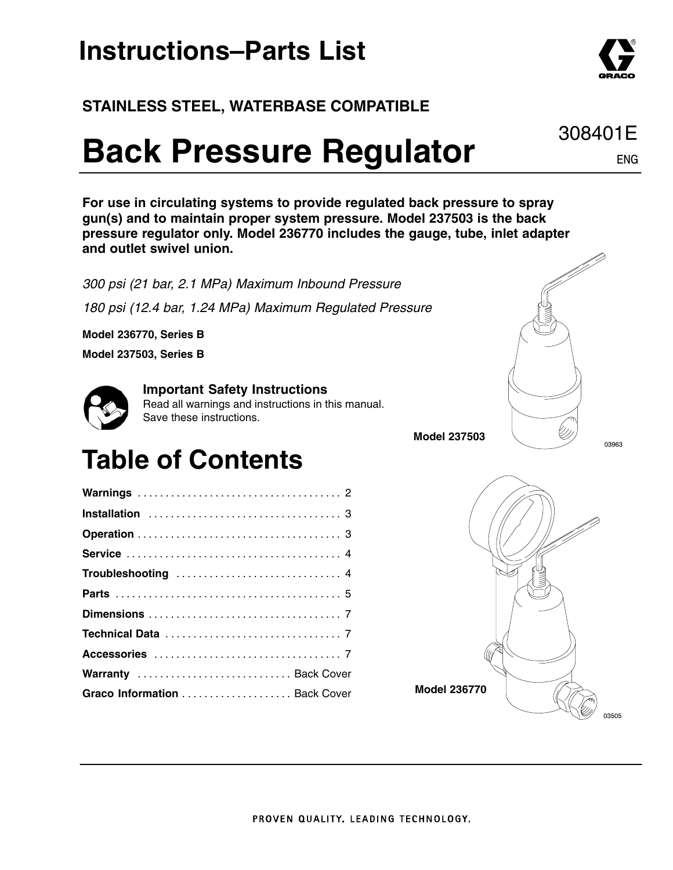### **Instructions–Parts List**

### **STAINLESS STEEL, WATERBASE COMPATIBLE**

# **Back Pressure Regulator**

**For use in circulating systems to provide regulated back pressure to spray gun(s) and to maintain proper system pressure. Model 237503 is the back pressure regulator only. Model 236770 includes the gauge, tube, inlet adapter and outlet swivel union.**

*300 psi (21 bar, 2.1 MPa) Maximum Inbound Pressure 180 psi (12.4 bar, 1.24 MPa) Maximum Regulated Pressure*

**Model 236770, Series B**

**Model 237503, Series B**



#### **Important Safety Instructions**

Read all warnings and instructions in this manual. Save these instructions.

### **Table of Contents**

| Warranty  Back Cover          |  |  |  |  |  |  |  |  |  |  |  |  |
|-------------------------------|--|--|--|--|--|--|--|--|--|--|--|--|
| Graco Information  Back Cover |  |  |  |  |  |  |  |  |  |  |  |  |
|                               |  |  |  |  |  |  |  |  |  |  |  |  |





**Model 237503**

ENG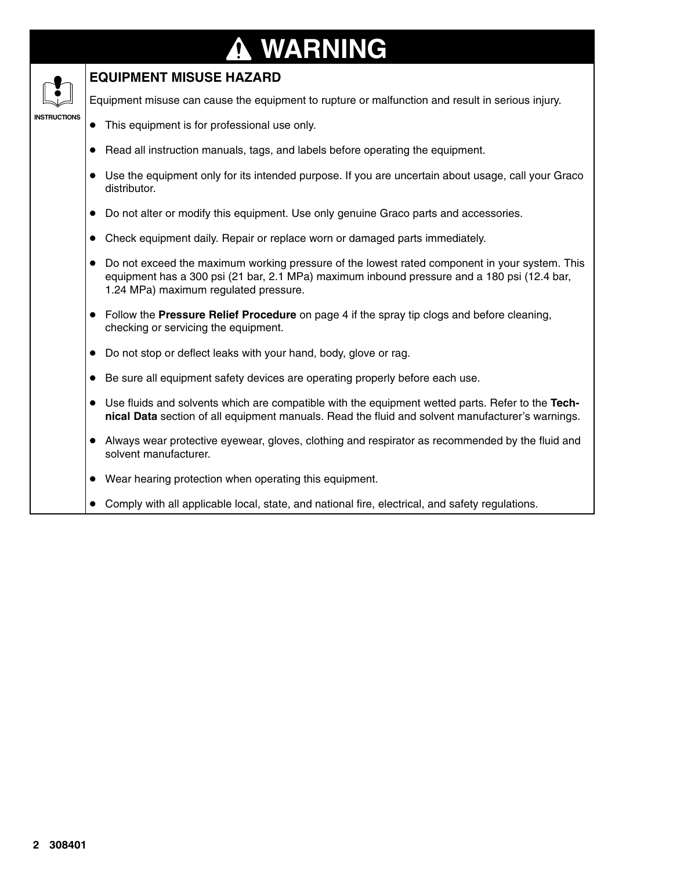### **WARNING N**

### **EQUIPMENT MISUSE HAZARD**

**INSTRUCTIONS** 

Equipment misuse can cause the equipment to rupture or malfunction and result in serious injury.

- This equipment is for professional use only.
- Read all instruction manuals, tags, and labels before operating the equipment.
- Use the equipment only for its intended purpose. If you are uncertain about usage, call your Graco distributor.
- $\bullet$  Do not alter or modify this equipment. Use only genuine Graco parts and accessories.
- Check equipment daily. Repair or replace worn or damaged parts immediately.
- $\bullet$  Do not exceed the maximum working pressure of the lowest rated component in your system. This equipment has a 300 psi (21 bar, 2.1 MPa) maximum inbound pressure and a 180 psi (12.4 bar, 1.24 MPa) maximum regulated pressure.
- Follow the **Pressure Relief Procedure** on page 4 if the spray tip clogs and before cleaning, checking or servicing the equipment.
- Do not stop or deflect leaks with your hand, body, glove or rag.
- Be sure all equipment safety devices are operating properly before each use.
- Use fluids and solvents which are compatible with the equipment wetted parts. Refer to the Tech**nical Data** section of all equipment manuals. Read the fluid and solvent manufacturer's warnings.
- Always wear protective eyewear, gloves, clothing and respirator as recommended by the fluid and solvent manufacturer.
- Wear hearing protection when operating this equipment.
- Comply with all applicable local, state, and national fire, electrical, and safety regulations.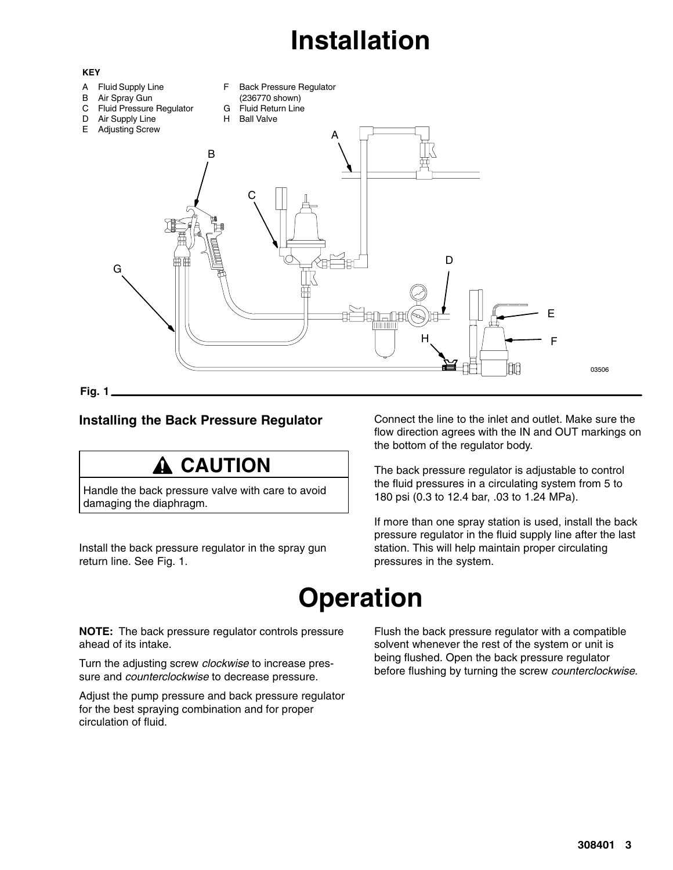# **Installation**



#### **Installing the Back Pressure Regulator**

### **A CAUTION**

Handle the back pressure valve with care to avoid damaging the diaphragm.

Install the back pressure regulator in the spray gun return line. See Fig. 1.

Connect the line to the inlet and outlet. Make sure the flow direction agrees with the IN and OUT markings on the bottom of the regulator body.

The back pressure regulator is adjustable to control the fluid pressures in a circulating system from 5 to 180 psi (0.3 to 12.4 bar, .03 to 1.24 MPa).

If more than one spray station is used, install the back pressure regulator in the fluid supply line after the last station. This will help maintain proper circulating pressures in the system.

### **Operation**

**NOTE:** The back pressure regulator controls pressure ahead of its intake.

Turn the adjusting screw *clockwise* to increase pressure and *counterclockwise* to decrease pressure.

Adjust the pump pressure and back pressure regulator for the best spraying combination and for proper circulation of fluid.

Flush the back pressure regulator with a compatible solvent whenever the rest of the system or unit is being flushed. Open the back pressure regulator before flushing by turning the screw *counterclockwise*.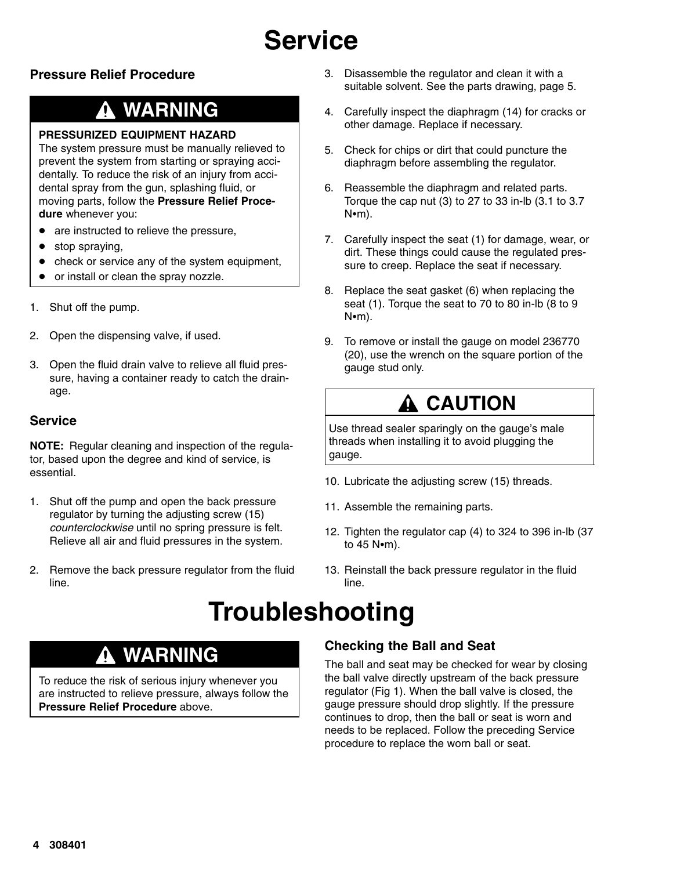# **Service**

#### **Pressure Relief Procedure**

### **WARNING**

#### **PRESSURIZED EQUIPMENT HAZARD**

The system pressure must be manually relieved to prevent the system from starting or spraying accidentally. To reduce the risk of an injury from accidental spray from the gun, splashing fluid, or moving parts, follow the **Pressure Relief Procedure** whenever you:

- $\bullet$ are instructed to relieve the pressure,
- $\bullet$ stop spraying,
- $\bullet$ check or service any of the system equipment,
- $\bullet$ or install or clean the spray nozzle.
- 1. Shut off the pump.
- 2. Open the dispensing valve, if used.
- 3. Open the fluid drain valve to relieve all fluid pressure, having a container ready to catch the drainage.

#### **Service**

**NOTE:** Regular cleaning and inspection of the regulator, based upon the degree and kind of service, is essential.

- 1. Shut off the pump and open the back pressure regulator by turning the adjusting screw (15) *counterclockwise* until no spring pressure is felt. Relieve all air and fluid pressures in the system.
- 2. Remove the back pressure regulator from the fluid line.
- Disassemble the regulator and clean it with a suitable solvent. See the parts drawing, page 5.
- Carefully inspect the diaphragm (14) for cracks or other damage. Replace if necessary.
- Check for chips or dirt that could puncture the diaphragm before assembling the regulator.
- 6. Reassemble the diaphragm and related parts. Torque the cap nut (3) to 27 to 33 in-lb (3.1 to 3.7  $N$  $\cdot$ m).
- 7. Carefully inspect the seat (1) for damage, wear, or dirt. These things could cause the regulated pressure to creep. Replace the seat if necessary.
- 8. Replace the seat gasket (6) when replacing the seat (1). Torque the seat to 70 to 80 in-lb (8 to 9  $N$  $(m)$ .
- To remove or install the gauge on model 236770 (20), use the wrench on the square portion of the gauge stud only.

### **A CAUTION**

Use thread sealer sparingly on the gauge's male threads when installing it to avoid plugging the gauge.

- 10. Lubricate the adjusting screw (15) threads.
- 11. Assemble the remaining parts.
- 12. Tighten the regulator cap (4) to 324 to 396 in-lb (37 to  $45$  N $\cdot$ m).
- 13. Reinstall the back pressure regulator in the fluid line.

### **Troubleshooting**

### **WARNING**

To reduce the risk of serious injury whenever you are instructed to relieve pressure, always follow the **Pressure Relief Procedure** above.

#### **Checking the Ball and Seat**

The ball and seat may be checked for wear by closing the ball valve directly upstream of the back pressure regulator (Fig 1). When the ball valve is closed, the gauge pressure should drop slightly. If the pressure continues to drop, then the ball or seat is worn and needs to be replaced. Follow the preceding Service procedure to replace the worn ball or seat.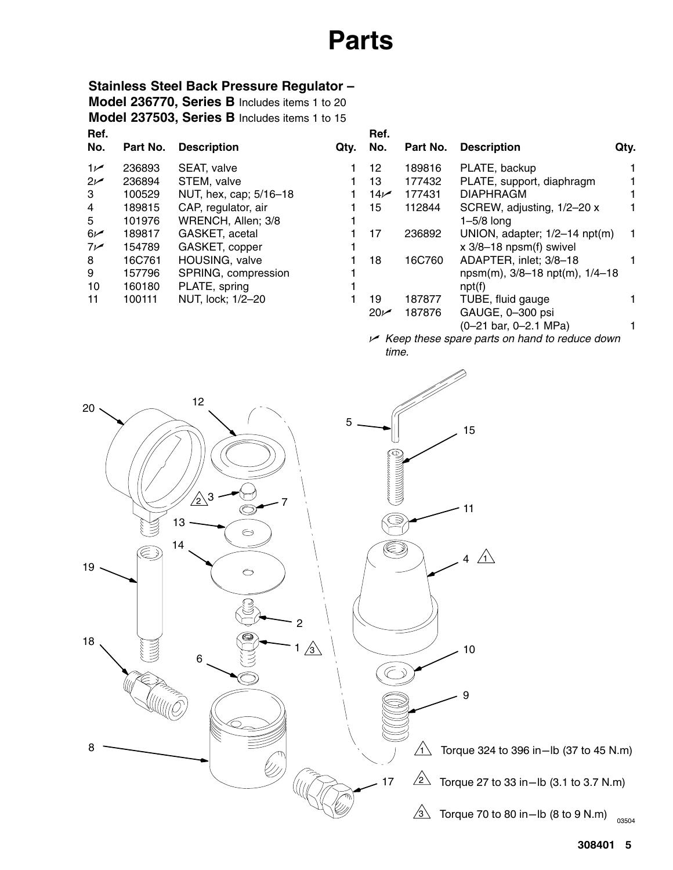### **Parts**

### **Stainless Steel Back Pressure Regulator –**

**Ref. Model 236770, Series B** Includes items 1 to 20 **Model 237503, Series B** Includes items 1 to 15

| No.   | Part No. | <b>Description</b>     |   |
|-------|----------|------------------------|---|
| م 1   | 236893   | SEAT, valve            |   |
| ص2    | 236894   | STEM, valve            |   |
| 3     | 100529   | NUT, hex, cap; 5/16-18 | 1 |
| 4     | 189815   | CAP, regulator, air    | 1 |
| 5     | 101976   | WRENCH, Allen; 3/8     | 1 |
| $6 -$ | 189817   | GASKET, acetal         | 1 |
| سما7  | 154789   | GASKET, copper         | 1 |
| 8     | 16C761   | HOUSING, valve         | 1 |
| 9     | 157796   | SPRING, compression    | 1 |
| 10    | 160180   | PLATE, spring          | 1 |
| 11    | 100111   | NUT, lock; 1/2-20      |   |
|       |          |                        |   |

| )tv. | Ref.<br>No.     | Part No. | <b>Description</b>                   | Qty. |
|------|-----------------|----------|--------------------------------------|------|
|      | 12              | 189816   | PLATE, backup                        |      |
|      | 13              | 177432   | PLATE, support, diaphragm            |      |
|      | 14 <sub>k</sub> | 177431   | <b>DIAPHRAGM</b>                     |      |
|      | 15              | 112844   | SCREW, adjusting, 1/2-20 x           |      |
|      |                 |          | $1-5/8$ long                         |      |
|      | 17              | 236892   | UNION, adapter; 1/2-14 npt(m)        |      |
|      |                 |          | $x$ 3/8-18 npsm(f) swivel            |      |
|      | 18              | 16C760   | ADAPTER, inlet; 3/8-18               |      |
|      |                 |          | $npsm(m)$ , 3/8-18 $npt(m)$ , 1/4-18 |      |
|      |                 |          | npt(f)                               |      |
|      | 19              | 187877   | TUBE, fluid gauge                    |      |
|      | $20\nu$         | 187876   | GAUGE, 0-300 psi                     |      |
|      |                 |          | (0-21 bar, 0-2.1 MPa)                |      |
|      |                 | .        |                                      |      |

 *Keep these spare parts on hand to reduce down time.*

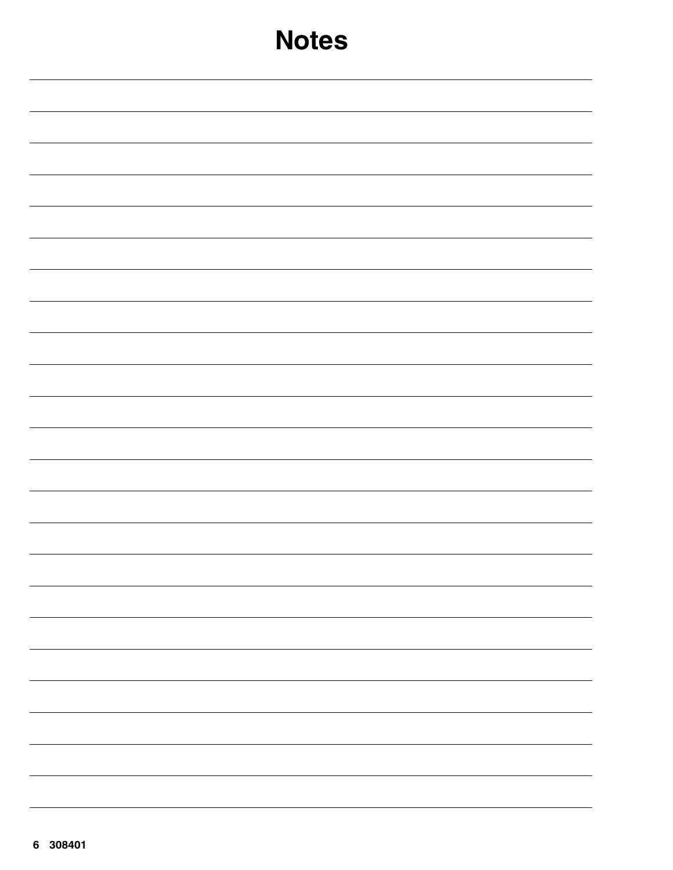| <b>Notes</b>             |
|--------------------------|
|                          |
|                          |
|                          |
|                          |
|                          |
|                          |
|                          |
|                          |
|                          |
|                          |
|                          |
|                          |
| -                        |
| $\overline{\phantom{a}}$ |
| $\overline{\phantom{a}}$ |
| $\overline{\phantom{0}}$ |
|                          |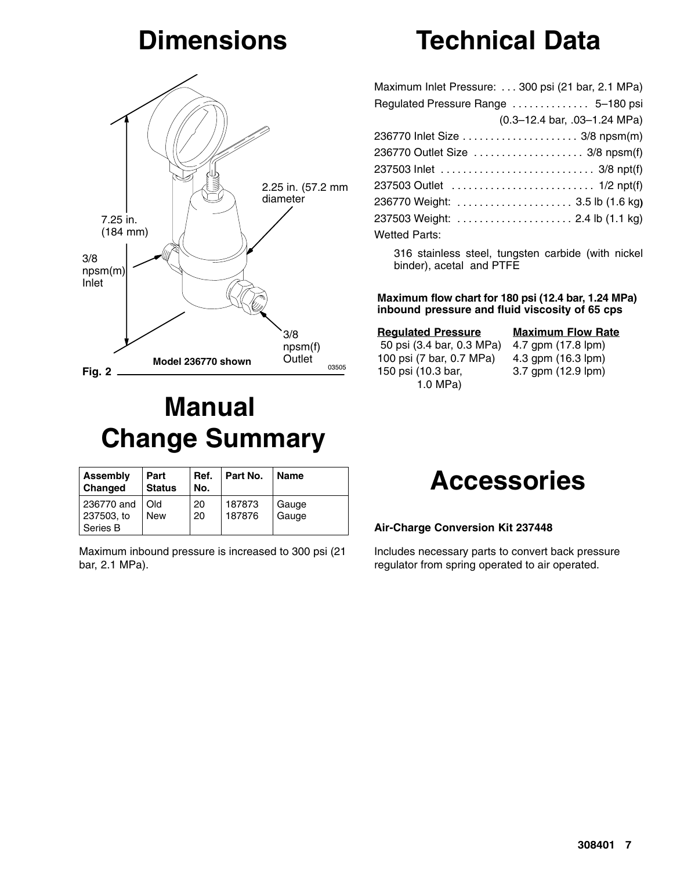### **Dimensions**



### **Manual Change Summary**

| Assembly<br>Changed                  | Part<br><b>Status</b>     | Ref.<br>No. | Part No.         | <b>Name</b>    |
|--------------------------------------|---------------------------|-------------|------------------|----------------|
| 236770 and<br>237503, to<br>Series B | <b>DI</b> Q<br><b>New</b> | 20<br>20    | 187873<br>187876 | Gauge<br>Gauge |

Maximum inbound pressure is increased to 300 psi (21 bar, 2.1 MPa).

# **Technical Data**

| Maximum Inlet Pressure: 300 psi (21 bar, 2.1 MPa) |
|---------------------------------------------------|
| Regulated Pressure Range  5-180 psi               |
| $(0.3-12.4$ bar, $.03-1.24$ MPa)                  |
| 236770 Inlet Size  3/8 npsm(m)                    |
| 236770 Outlet Size  3/8 npsm(f)                   |
|                                                   |
|                                                   |
| 236770 Weight:  3.5 lb (1.6 kg)                   |
| 237503 Weight:  2.4 lb (1.1 kg)                   |
| Wetted Parts:                                     |

316 stainless steel, tungsten carbide (with nickel binder), acetal and PTFE

#### **Maximum flow chart for 180 psi (12.4 bar, 1.24 MPa) inbound pressure and fluid viscosity of 65 cps**

#### **Regulated Pressure** 50 psi (3.4 bar, 0.3 MPa) 4.7 gpm (17.8 lpm) 100 psi (7 bar, 0.7 MPa) 150 psi (10.3 bar, 1.0 MPa)

**Maximum Flow Rate**

4.3 gpm (16.3 lpm) 3.7 gpm (12.9 lpm)



#### **Air-Charge Conversion Kit 237448**

Includes necessary parts to convert back pressure regulator from spring operated to air operated.